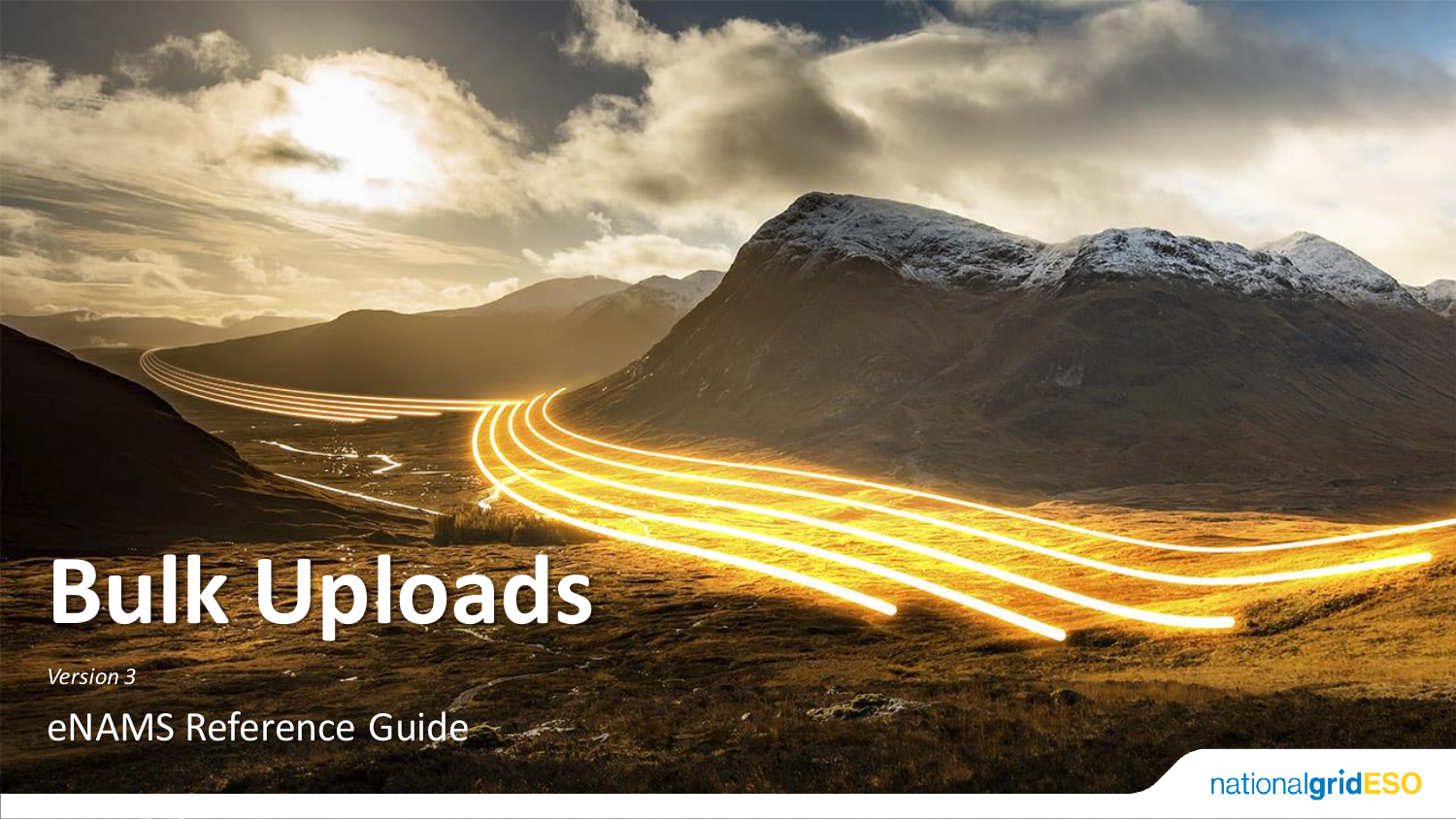# **Bulk Uploads**

*Version 3*

eNAMS Reference Guide

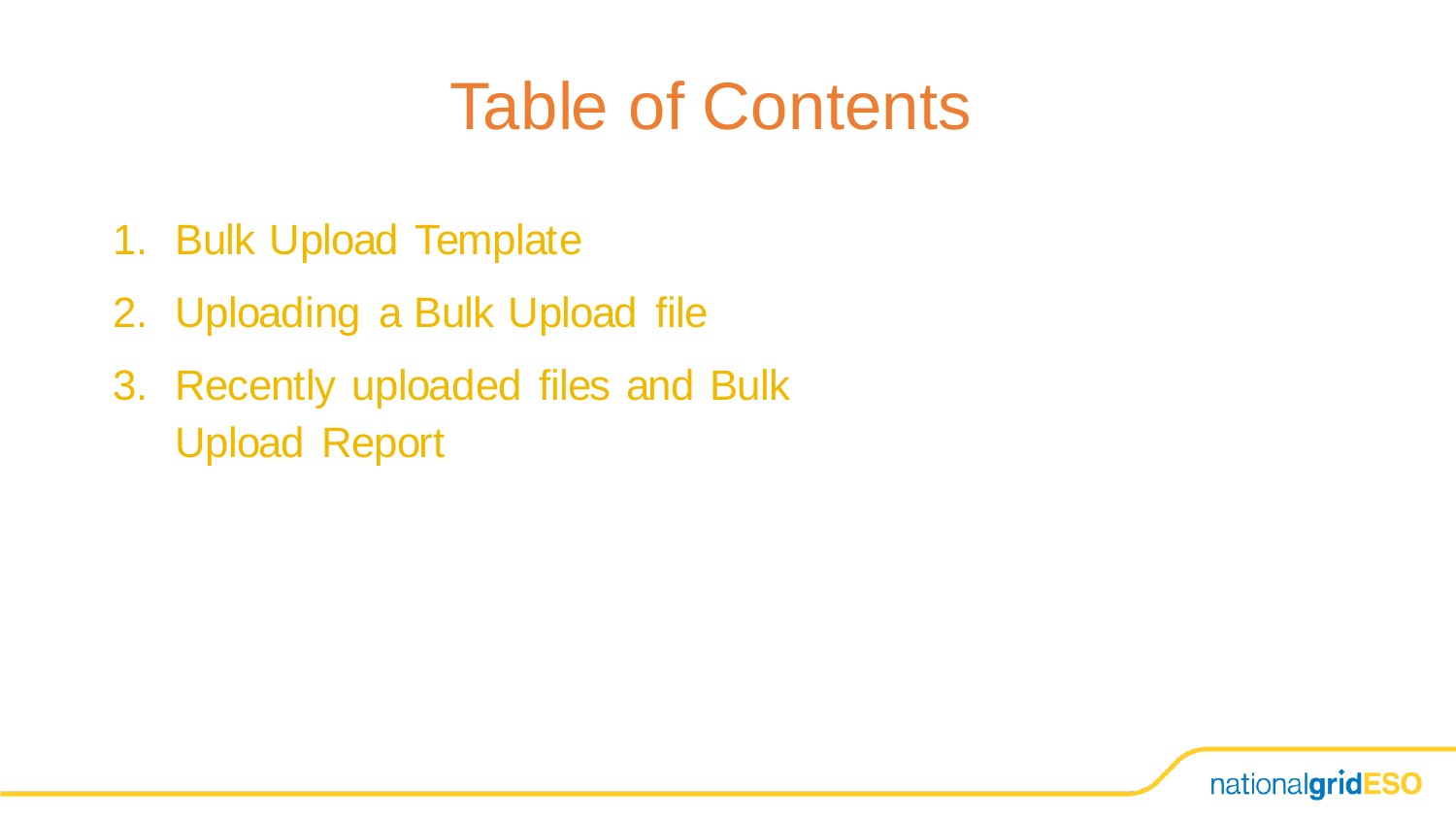## Table of Contents

- 1. Bulk Upload Template
- 2. Uploading a Bulk Upload file
- 3. Recently uploaded files and Bulk Upload Report

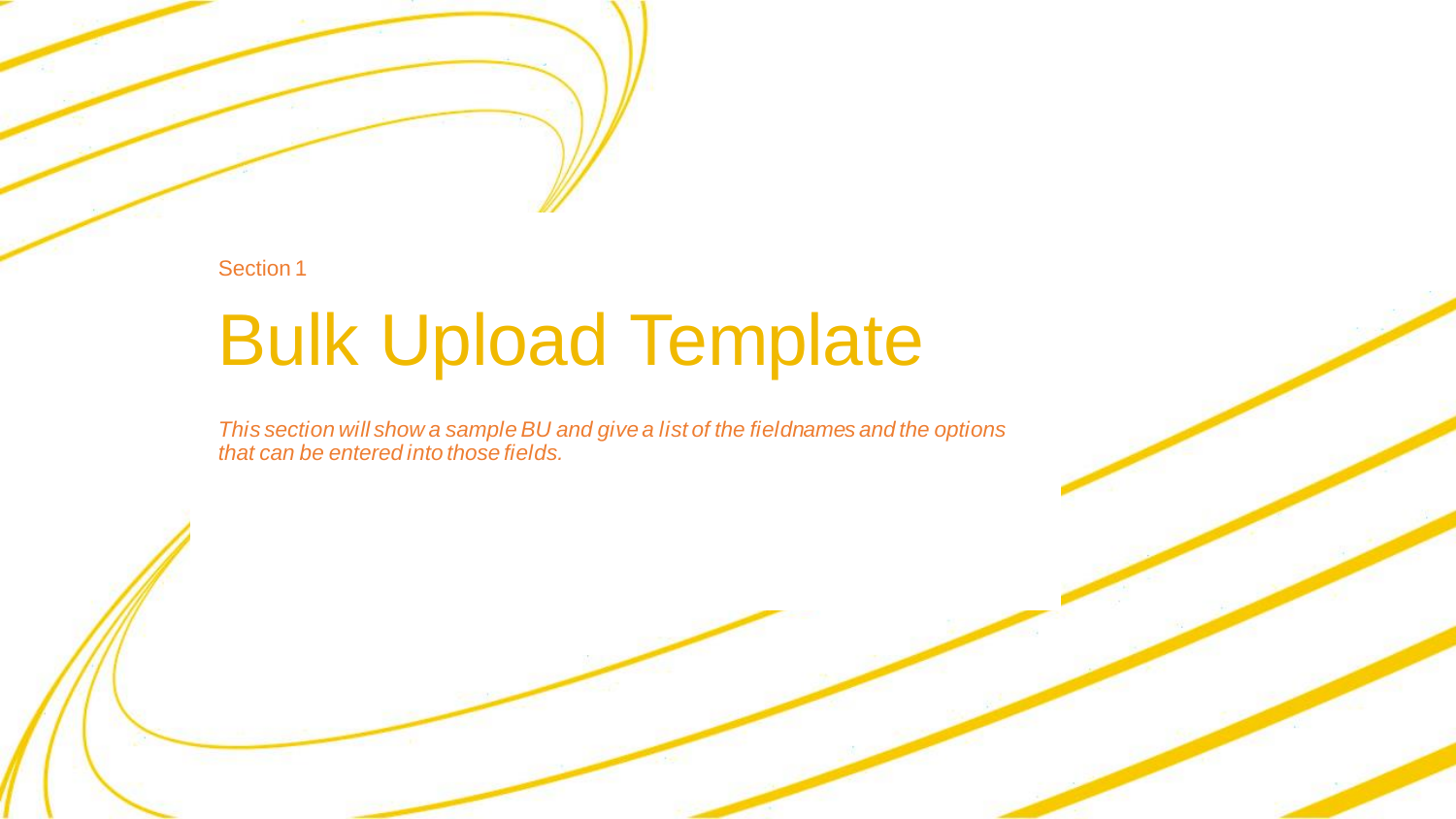Section 1

# Bulk Upload Template

*This section will show a sample BU and give a list of the fieldnames and the options that can be entered into those fields.*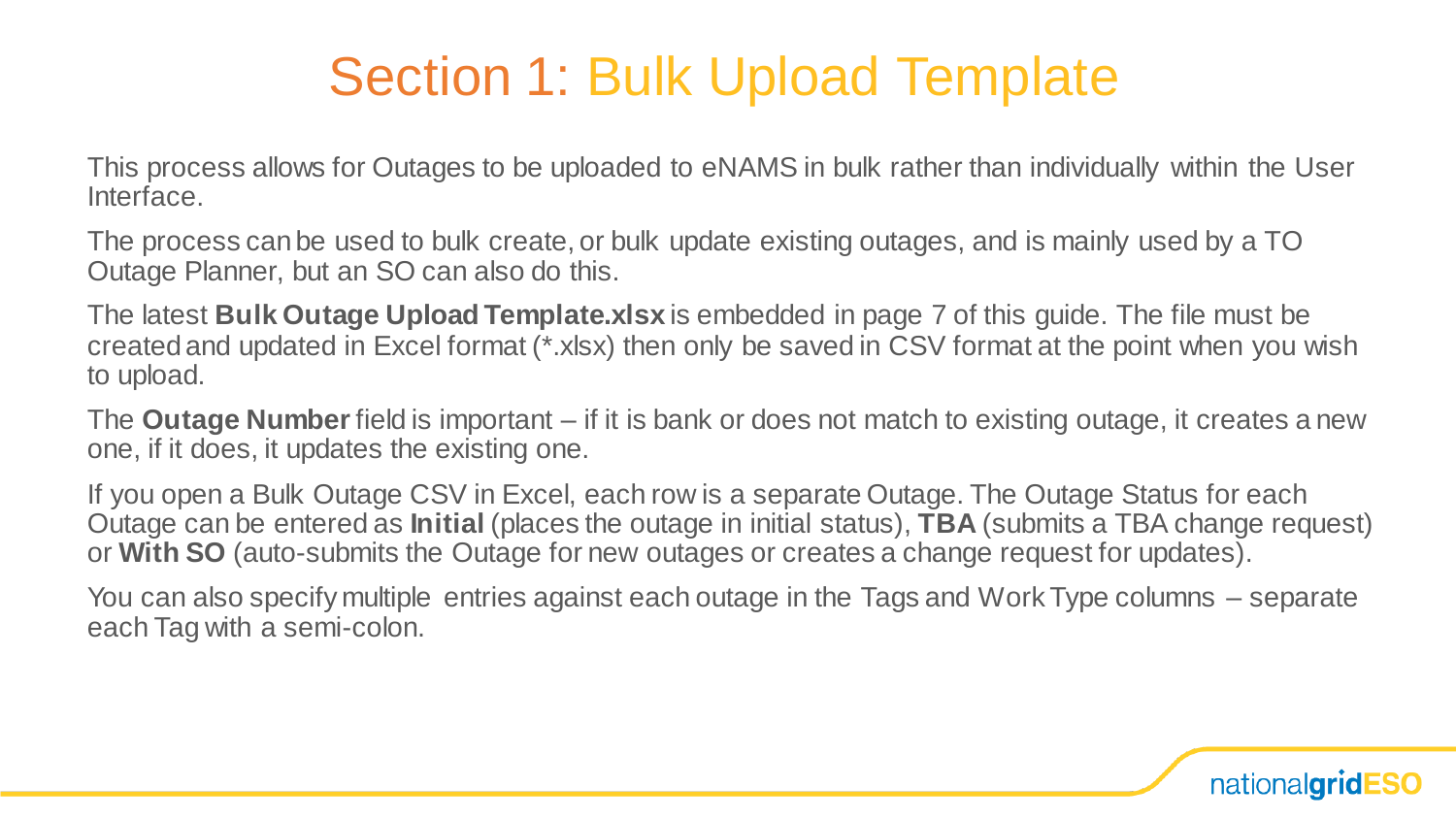This process allows for Outages to be uploaded to eNAMS in bulk rather than individually within the User Interface.

The process can be used to bulk create, or bulk update existing outages, and is mainly used by a TO Outage Planner, but an SO can also do this.

The latest **Bulk Outage Upload Template.xlsx** is embedded in page 7 of this guide. The file must be created and updated in Excel format (\*.xlsx) then only be saved in CSV format at the point when you wish to upload.

The **Outage Number** field is important – if it is bank or does not match to existing outage, it creates a new one, if it does, it updates the existing one.

If you open a Bulk Outage CSV in Excel, each row is a separate Outage. The Outage Status for each Outage can be entered as **Initial** (places the outage in initial status), **TBA** (submits a TBA change request) or **With SO** (auto-submits the Outage for new outages or creates a change request for updates).

You can also specify multiple entries against each outage in the Tags and Work Type columns – separate each Tag with a semi-colon.

nationalgridESO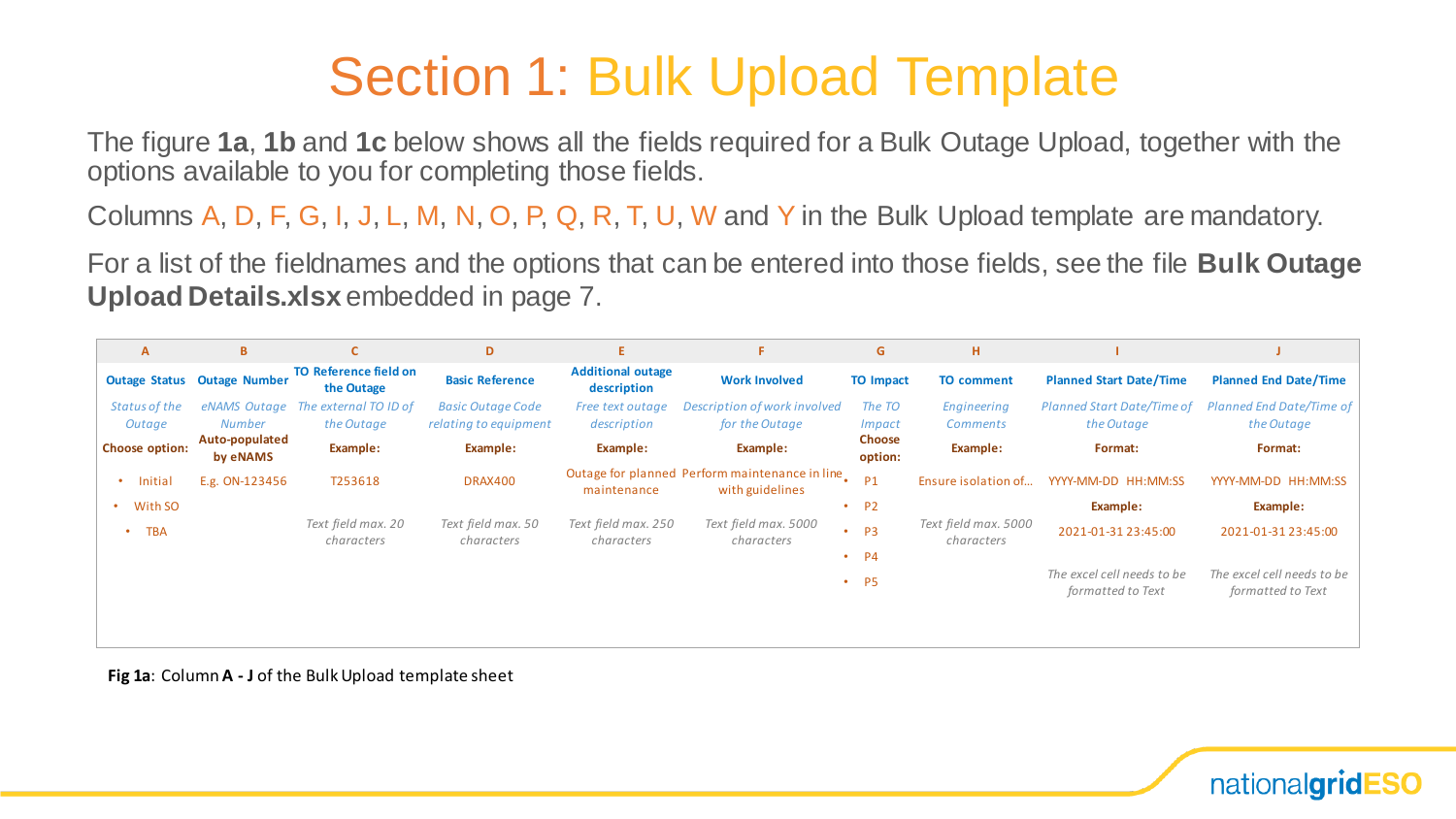The figure **1a**, **1b** and **1c** below shows all the fields required for a Bulk Outage Upload, together with the options available to you for completing those fields.

Columns A, D, F, G, I, J, L, M, N, O, P, Q, R, T, U, W and Y in the Bulk Upload template are mandatory.

For a list of the fieldnames and the options that can be entered into those fields, see the file **Bulk Outage Upload Details.xlsx** embedded in page 7.

| A               | B.                                 | $\mathsf{C}$                               | D                                | E.                                      | F.                                                                | G                           | н.                                 |                                                 |                                                 |
|-----------------|------------------------------------|--------------------------------------------|----------------------------------|-----------------------------------------|-------------------------------------------------------------------|-----------------------------|------------------------------------|-------------------------------------------------|-------------------------------------------------|
|                 | <b>Outage Status Outage Number</b> | <b>TO Reference field on</b><br>the Outage | <b>Basic Reference</b>           | <b>Additional outage</b><br>description | <b>Work Involved</b>                                              | <b>TO Impact</b>            | <b>TO comment</b>                  | <b>Planned Start Date/Time</b>                  | <b>Planned End Date/Time</b>                    |
| Status of the   |                                    | eNAMS Outage The external TO ID of         | <b>Basic Outage Code</b>         | Free text outage                        | Description of work involved                                      | The TO                      | Engineering                        | Planned Start Date/Time of                      | <b>Planned End Date/Time of</b>                 |
| Outage          | <b>Number</b>                      | the Outage                                 | relating to equipment            | description                             | for the Outage                                                    | <i>Impact</i>               | <b>Comments</b>                    | the Outage                                      | the Outage                                      |
| Choose option:  | Auto-populated<br>by eNAMS         | Example:                                   | Example:                         | Example:                                | Example:                                                          | <b>Choose</b><br>option:    | Example:                           | Format:                                         | Format:                                         |
| Initial         | E.g. ON-123456                     | T253618                                    | <b>DRAX400</b>                   | maintenance                             | Outage for planned Perform maintenance in line<br>with guidelines | P <sub>1</sub>              | Ensure isolation of                | YYYY-MM-DD HH:MM:SS                             | YYYY-MM-DD HH:MM:SS                             |
| With SO         |                                    |                                            |                                  |                                         |                                                                   | <b>P2</b><br>٠              |                                    | Example:                                        | Example:                                        |
| <b>TBA</b><br>٠ |                                    | Text field max. 20<br>characters           | Text field max. 50<br>characters | Text field max. 250<br>characters       | Text field max. 5000<br>characters                                | P <sub>3</sub><br>$\bullet$ | Text field max. 5000<br>characters | 2021-01-31 23:45:00                             | 2021-01-31 23:45:00                             |
|                 |                                    |                                            |                                  |                                         | ٠                                                                 | P4                          |                                    |                                                 |                                                 |
|                 |                                    |                                            |                                  |                                         |                                                                   | <b>P5</b><br>$\bullet$      |                                    | The excel cell needs to be<br>formatted to Text | The excel cell needs to be<br>formatted to Text |
|                 |                                    |                                            |                                  |                                         |                                                                   |                             |                                    |                                                 |                                                 |

**Fig 1a**: Column **A - J** of the Bulk Upload template sheet

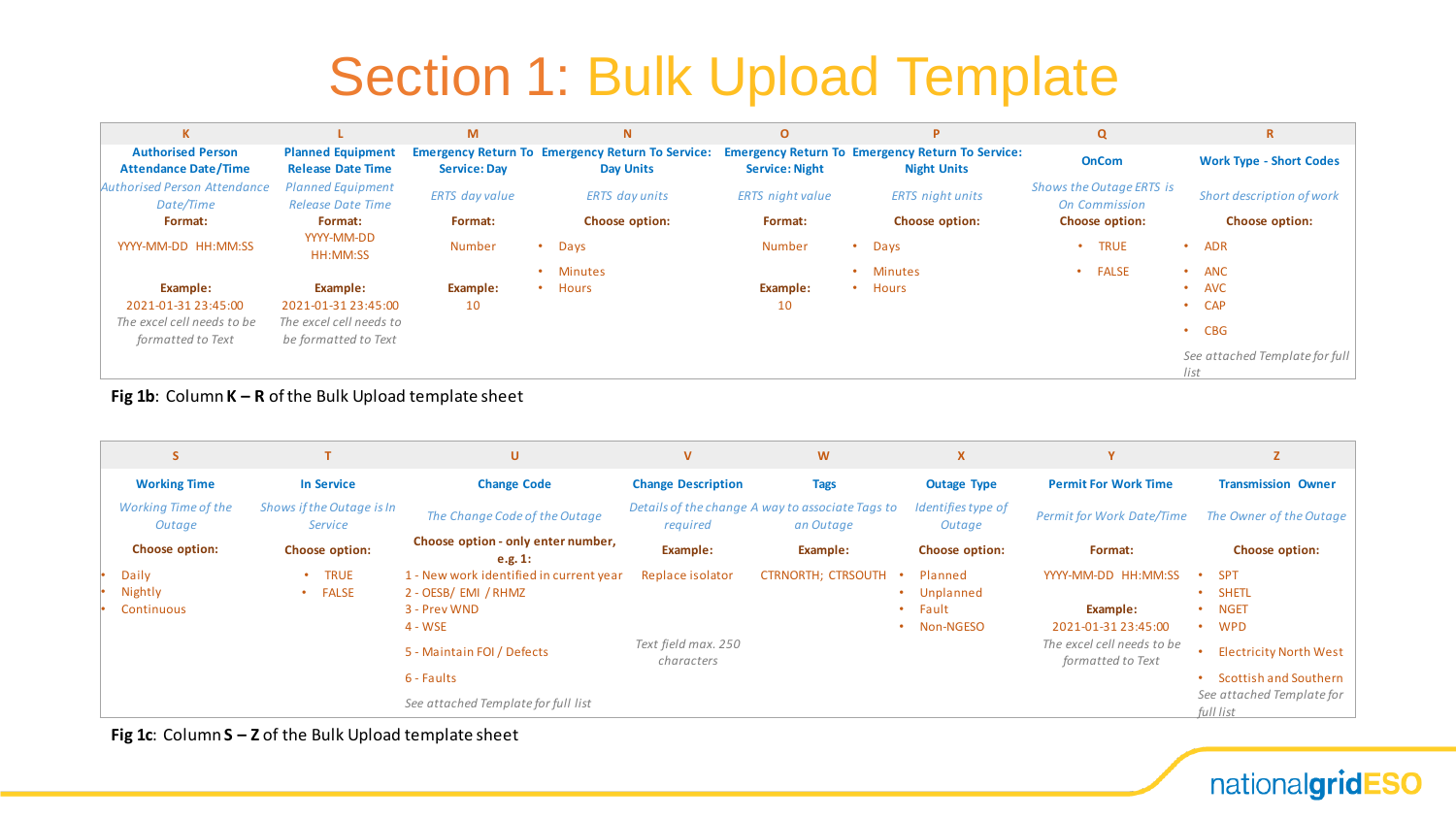| K                                                       |                                                      | M                     | N                                                                           | $\mathbf{o}$            | Þ                                                                             | $\mathbf Q$                                      | $\mathbf R$                            |
|---------------------------------------------------------|------------------------------------------------------|-----------------------|-----------------------------------------------------------------------------|-------------------------|-------------------------------------------------------------------------------|--------------------------------------------------|----------------------------------------|
| <b>Authorised Person</b><br><b>Attendance Date/Time</b> | <b>Planned Equipment</b><br><b>Release Date Time</b> | <b>Service: Day</b>   | <b>Emergency Return To Emergency Return To Service:</b><br><b>Day Units</b> | <b>Service: Night</b>   | <b>Emergency Return To Emergency Return To Service:</b><br><b>Night Units</b> | <b>OnCom</b>                                     | <b>Work Type - Short Codes</b>         |
| Authorised Person Attendance<br>Date/Time               | <b>Planned Equipment</b><br><b>Release Date Time</b> | <b>ERTS</b> day value | <b>ERTS</b> day units                                                       | <b>ERTS</b> night value | <b>ERTS</b> night units                                                       | Shows the Outage ERTS is<br><b>On Commission</b> | Short description of work              |
| Format:                                                 | Format:                                              | Format:               | <b>Choose option:</b>                                                       | Format:                 | <b>Choose option:</b>                                                         | <b>Choose option:</b>                            | Choose option:                         |
| YYYY-MM-DD HH:MM:SS                                     | YYYY-MM-DD<br>HH:MM:SS                               | <b>Number</b>         | Days                                                                        | <b>Number</b>           | Days<br>$\bullet$                                                             | <b>TRUE</b>                                      | ADR<br>٠                               |
|                                                         |                                                      |                       | <b>Minutes</b>                                                              |                         | <b>Minutes</b><br>$\bullet$                                                   | <b>FALSE</b>                                     | ANC<br>٠                               |
| Example:                                                | Example:                                             | Example:              | <b>Hours</b><br>٠                                                           | Example:                | Hours<br>$\bullet$                                                            |                                                  | <b>AVC</b><br>٠                        |
| 2021-01-31 23:45:00                                     | 2021-01-31 23:45:00                                  | 10                    |                                                                             | 10                      |                                                                               |                                                  | <b>CAP</b><br>$\bullet$                |
| The excel cell needs to be<br>formatted to Text         | The excel cell needs to<br>be formatted to Text      |                       |                                                                             |                         |                                                                               |                                                  | $\cdot$ CBG                            |
|                                                         |                                                      |                       |                                                                             |                         |                                                                               |                                                  | See attached Template for full<br>list |

#### **Fig 1b**: Column **K – R** of the Bulk Upload template sheet

| <b>S</b>                             |                                          | U                                                                                                                                                                             | $\mathbf v$                                           | W                                                             | X                                          |                                                                                                           |                                                                                                                                                                                                                 |
|--------------------------------------|------------------------------------------|-------------------------------------------------------------------------------------------------------------------------------------------------------------------------------|-------------------------------------------------------|---------------------------------------------------------------|--------------------------------------------|-----------------------------------------------------------------------------------------------------------|-----------------------------------------------------------------------------------------------------------------------------------------------------------------------------------------------------------------|
| <b>Working Time</b>                  | <b>In Service</b>                        | <b>Change Code</b>                                                                                                                                                            | <b>Change Description</b>                             | <b>Tags</b>                                                   | <b>Outage Type</b>                         | <b>Permit For Work Time</b>                                                                               | <b>Transmission Owner</b>                                                                                                                                                                                       |
| <b>Working Time of the</b><br>Outage | Shows if the Outage is In<br>Service     | The Change Code of the Outage                                                                                                                                                 | required                                              | Details of the change A way to associate Tags to<br>an Outage | Identifies type of<br>Outage               | <b>Permit for Work Date/Time</b>                                                                          | The Owner of the Outage                                                                                                                                                                                         |
| Choose option:                       | <b>Choose option:</b>                    | Choose option - only enter number,<br>e.g. 1:                                                                                                                                 | Example:                                              | Example:                                                      | <b>Choose option:</b>                      | Format:                                                                                                   | <b>Choose option:</b>                                                                                                                                                                                           |
| Daily<br>Nightly<br>Continuous       | <b>TRUE</b><br><b>FALSE</b><br>$\bullet$ | 1 - New work identified in current year<br>2 - OESB/ EMI / RHMZ<br>3 - Prev WND<br>4 - WSE<br>5 - Maintain FOI / Defects<br>6 - Faults<br>See attached Template for full list | Replace isolator<br>Text field max. 250<br>characters | <b>CTRNORTH; CTRSOUTH</b><br>$\bullet$                        | Planned<br>Unplanned<br>Fault<br>Non-NGESO | YYYY-MM-DD HH:MM:SS<br>Example:<br>2021-01-31 23:45:00<br>The excel cell needs to be<br>formatted to Text | <b>SPT</b><br>$\bullet$<br><b>SHETL</b><br>$\bullet$<br><b>NGET</b><br>$\bullet$<br><b>WPD</b><br>$\bullet$<br><b>Electricity North West</b><br>Scottish and Southern<br>See attached Template for<br>full list |

**Fig 1c**: Column **S – Z** of the Bulk Upload template sheet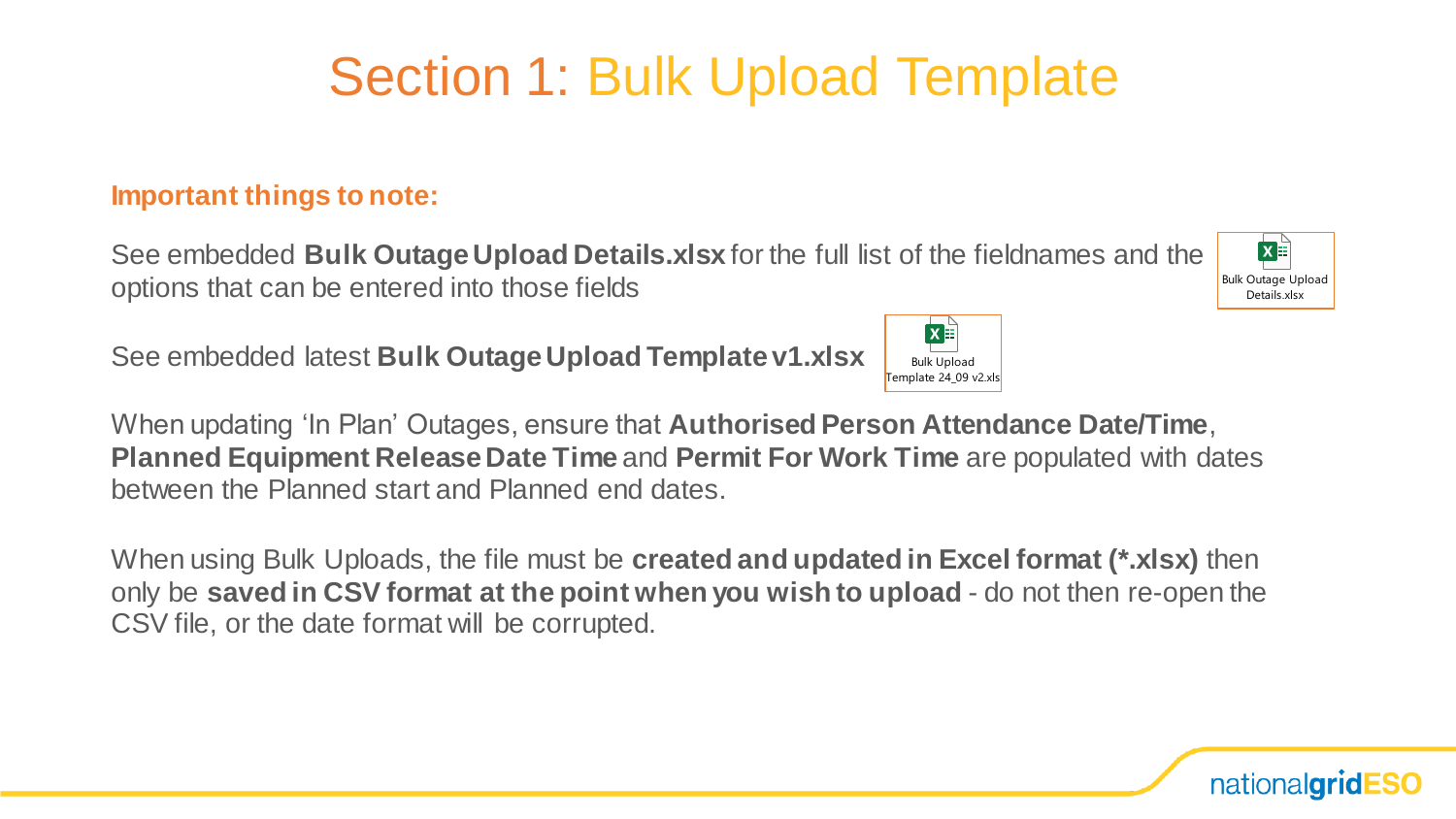#### **Important things to note:**

See embedded **Bulk Outage Upload Details.xlsx** for the full list of the fieldnames and the options that can be entered into those fields





When using Bulk Uploads, the file must be **created and updated in Excel format (\*.xlsx)** then only be **saved in CSV format at the point when you wish to upload** - do not then re-open the CSV file, or the date format will be corrupted.





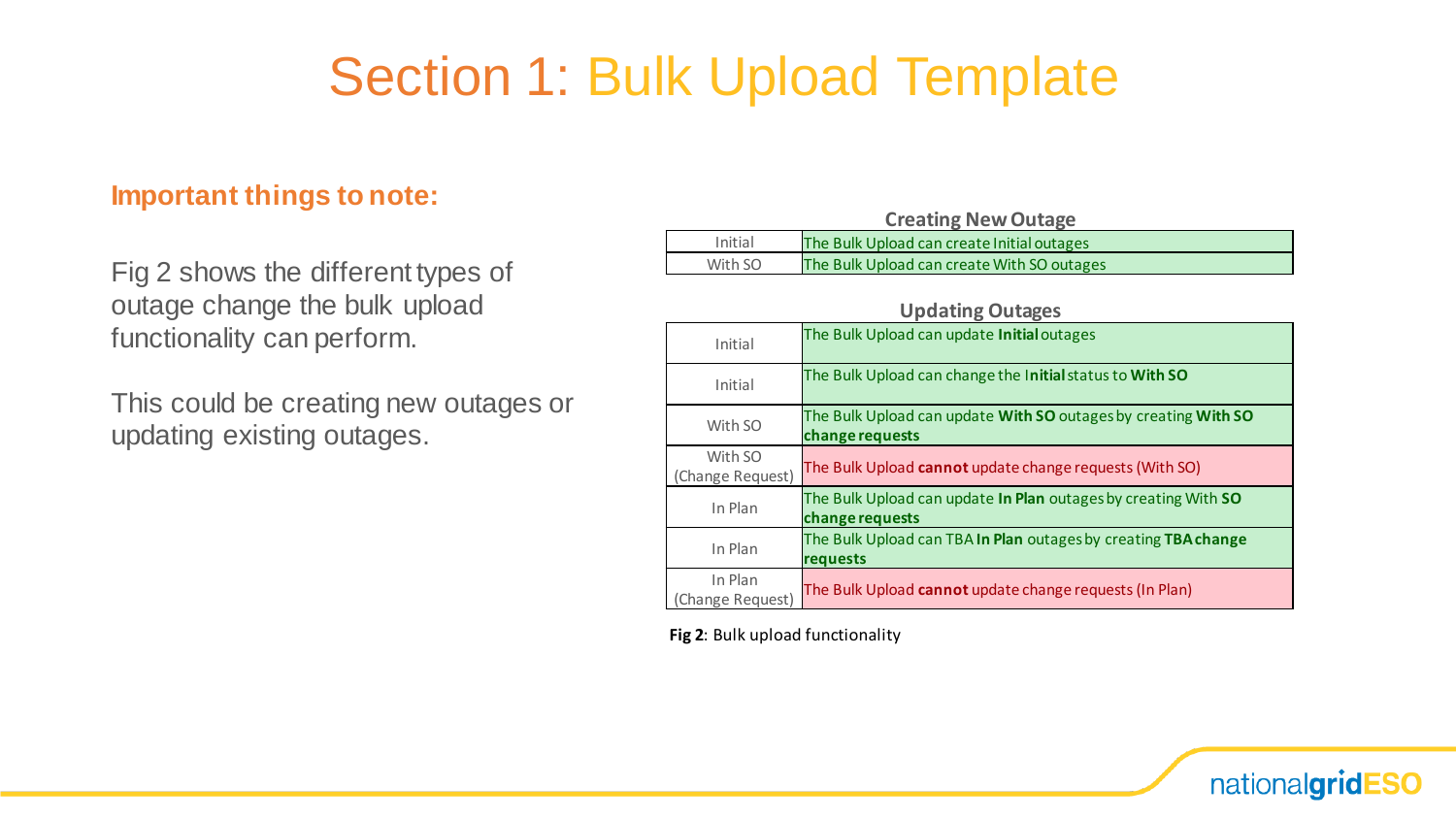#### **Important things to note:**

Fig 2 shows the different types of outage change the bulk upload functionality can perform.

This could be creating new outages or updating existing outages.

|         | <b>Creating New Outage</b>                 |
|---------|--------------------------------------------|
| Initial | The Bulk Upload can create Initial outages |
| With SO | The Bulk Upload can create With SO outages |

|                             | <b>Updating Outages</b>                                                           |
|-----------------------------|-----------------------------------------------------------------------------------|
| Initial                     | The Bulk Upload can update Initial outages                                        |
| Initial                     | The Bulk Upload can change the Initial status to With SO                          |
| With SO                     | The Bulk Upload can update With SO outages by creating With SO<br>change requests |
| With SO<br>(Change Request) | The Bulk Upload cannot update change requests (With SO)                           |
| In Plan                     | The Bulk Upload can update In Plan outages by creating With SO<br>change requests |
| In Plan                     | The Bulk Upload can TBA In Plan outages by creating TBA change<br>requests        |
| In Plan<br>Change Request)  | The Bulk Upload cannot update change requests (In Plan)                           |

**Fig 2**: Bulk upload functionality

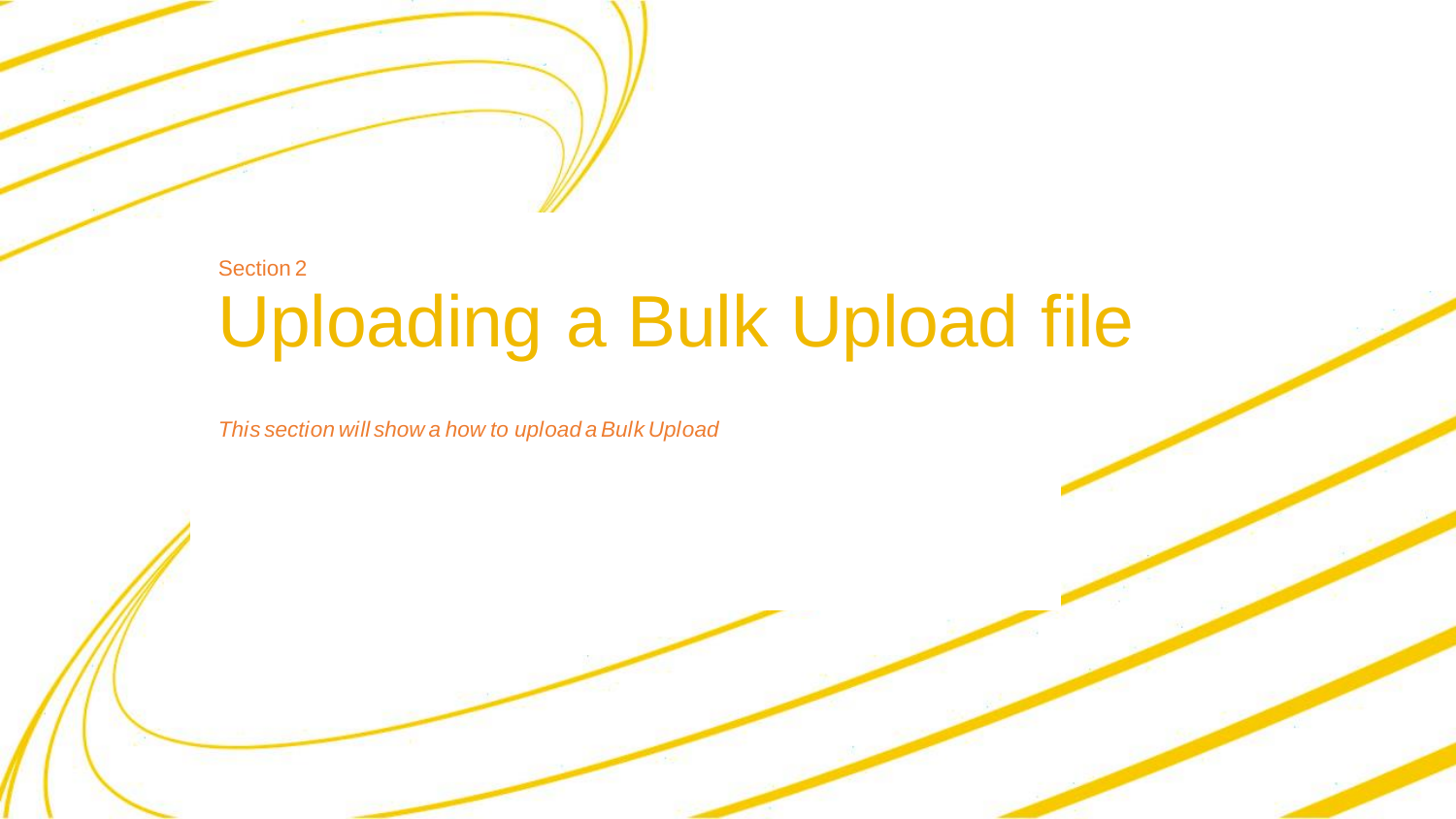#### Uploading a Bulk Upload file Section 2

*This section will show a how to upload a Bulk Upload*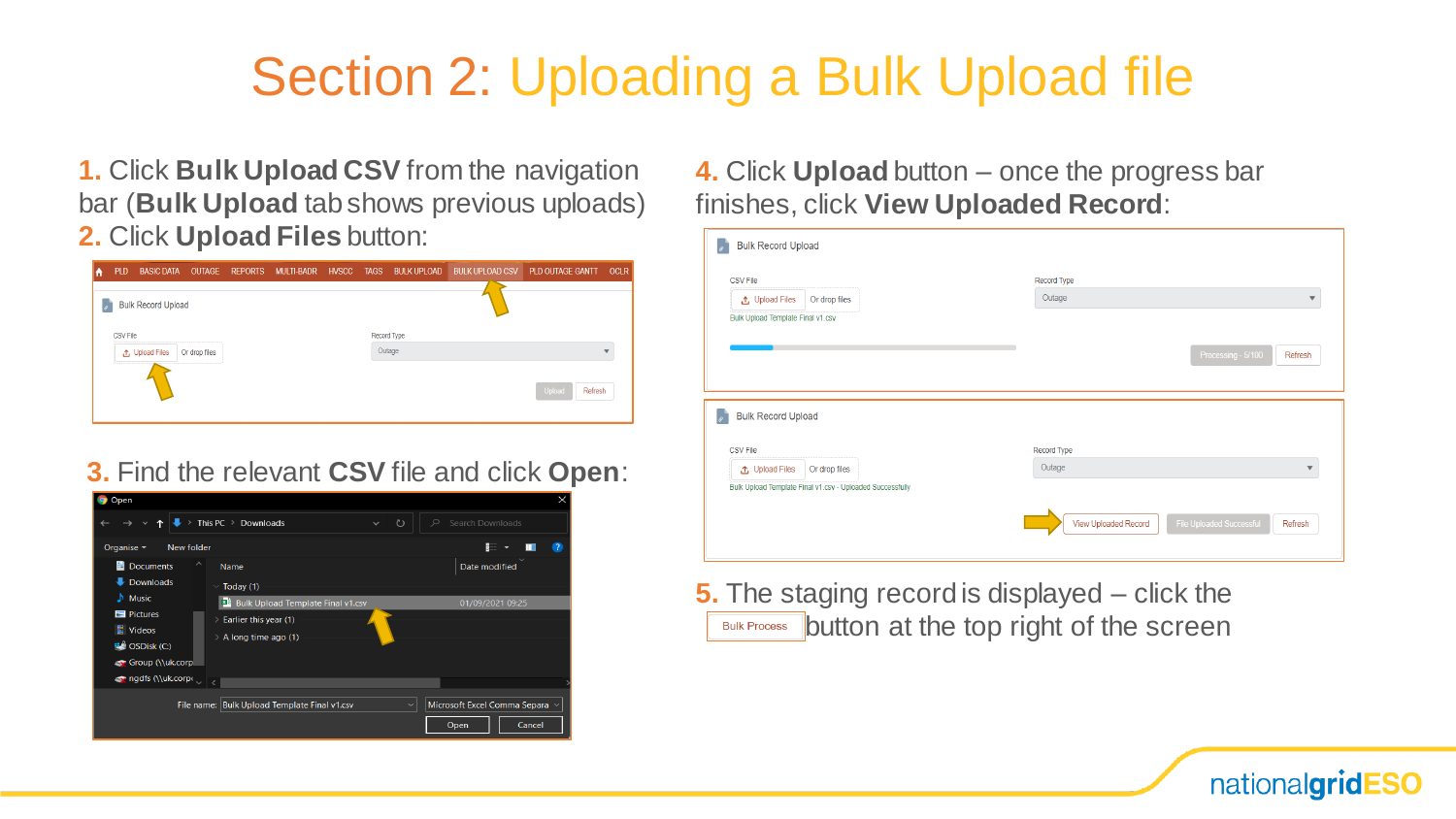### Section 2: Uploading a Bulk Upload file

**1.** Click **Bulk Upload CSV** from the navigation bar (**Bulk Upload** tab shows previous uploads) **2.** Click **Upload Files** button:

| IA            | <b>PLD</b>      | <b>BASIC DATA</b>         | OUTAGE        | REPORTS MULTI-BADR | <b>HVSCC</b> | <b>TAGS</b> | <b>BULK UPLOAD</b> | <b>BULK UPLOAD CSV</b> | PLD OUTAGE GANTT  | <b>OCLR</b> |
|---------------|-----------------|---------------------------|---------------|--------------------|--------------|-------------|--------------------|------------------------|-------------------|-------------|
| $\mathscr{A}$ |                 | <b>Bulk Record Upload</b> |               |                    |              |             |                    |                        |                   |             |
|               | <b>CSV File</b> |                           |               |                    |              | Record Type |                    |                        |                   |             |
|               |                 | <b>①</b> Upload Files     | Or drop files |                    |              |             | Outage             |                        |                   | ٠           |
|               |                 |                           |               |                    |              |             |                    |                        | Upload<br>Refresh |             |

#### **3.** Find the relevant **CSV** file and click **Open**:

| Open                                                                                                                     |                                                                                                       |                    |                                                       | X   |
|--------------------------------------------------------------------------------------------------------------------------|-------------------------------------------------------------------------------------------------------|--------------------|-------------------------------------------------------|-----|
|                                                                                                                          | This PC $\rightarrow$ Downloads                                                                       | ℧<br>$\checkmark$  | $\circ$<br><b>Search Downloads</b>                    |     |
| Organise $\sim$<br>New folder                                                                                            |                                                                                                       |                    | R.                                                    | - 7 |
| <b>Documents</b><br>蛗<br>Downloads<br>┹                                                                                  | $\hat{\phantom{1}}$<br>Name<br>Today (1)                                                              |                    | Date modified                                         |     |
| $\sqrt{\phantom{a}}$ Music<br>Pictures<br>Videos<br>$\mathbf{E}$ OSDisk (C:)<br>Group (\\uk.corp<br>or ngdfs (\\uk.corp< | <b>xa</b> Bulk Upload Template Final v1.csv<br>Earlier this year (1)<br>⋋<br>A long time ago (1)<br>⋋ |                    | 01/09/2021 09:25                                      |     |
|                                                                                                                          | File name: Bulk Upload Template Final v1.csv                                                          | $\scriptstyle\sim$ | Microsoft Excel Comma Separa $\sim$<br>Open<br>Cancel |     |

**4.** Click **Upload** button – once the progress bar finishes, click **View Uploaded Record**:

| <b>CSV File</b><br><b>①</b> Upload Files<br>Bulk Upload Template Final v1.csv | Or drop files | Record Type<br>Outage |                               |
|-------------------------------------------------------------------------------|---------------|-----------------------|-------------------------------|
|                                                                               |               |                       | Processing - 5/100<br>Refresh |
|                                                                               |               |                       |                               |
| <b>Bulk Record Upload</b>                                                     |               |                       |                               |
| <b>CSV File</b>                                                               |               | Record Type           |                               |
| <b>↑</b> Upload Files                                                         | Or drop files | Outage                | $\overline{\phantom{a}}$      |

nationalgridESO

**5.** The staging record is displayed – click the **Bulk Process button at the top right of the screen**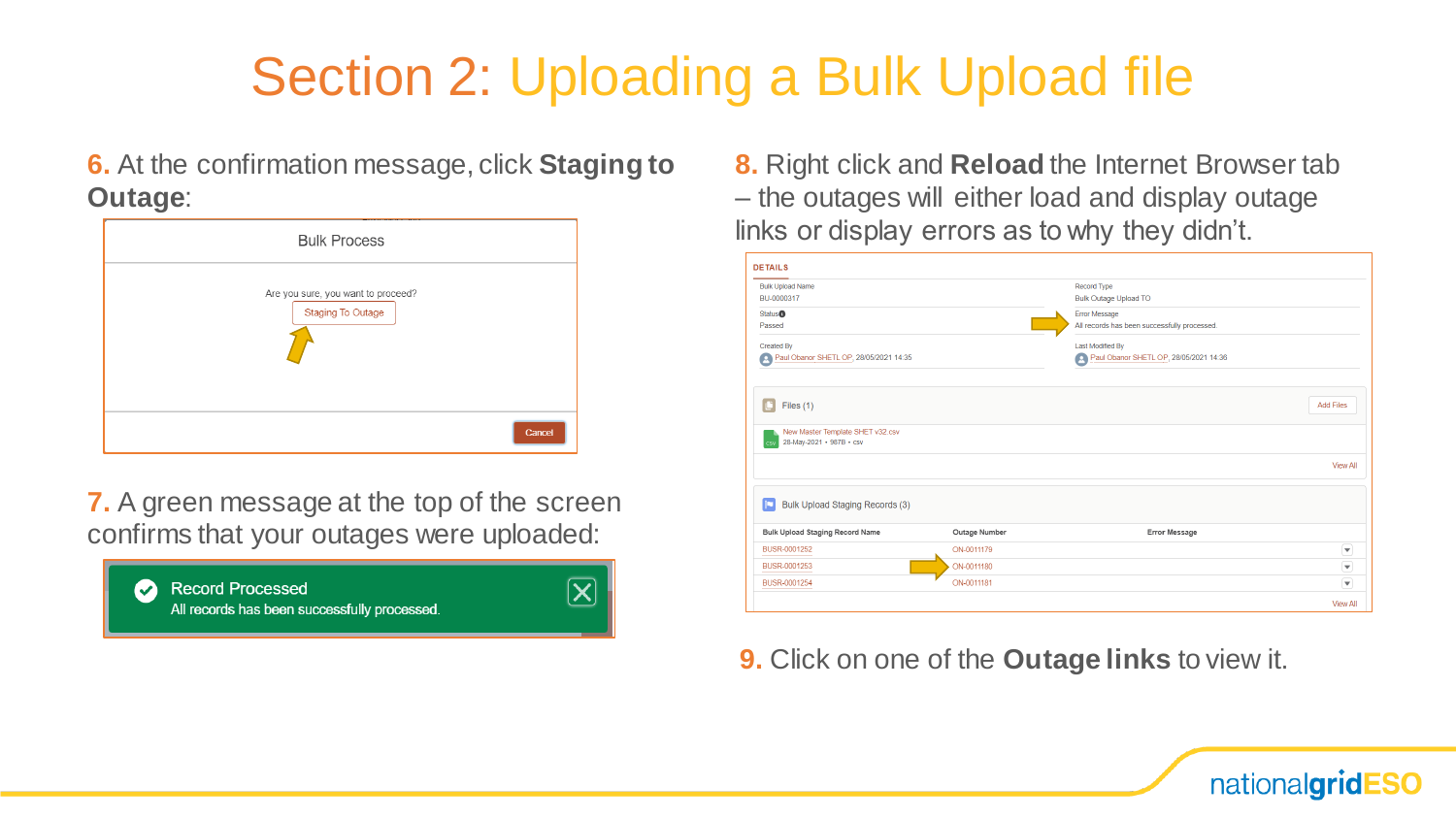### Section 2: Uploading a Bulk Upload file

**6.** At the confirmation message, click **Staging to Outage**:

| <b>Bulk Process</b>                                            |        |
|----------------------------------------------------------------|--------|
| Are you sure, you want to proceed?<br><b>Staging To Outage</b> |        |
|                                                                | Cancel |

**7.** A green message at the top of the screen confirms that your outages were uploaded:



**8.** Right click and **Reload** the Internet Browser tab – the outages will either load and display outage links or display errors as to why they didn't.

| <b>Bulk Upload Name</b><br>BU-0000317                               |               | <b>Record Type</b><br><b>Bulk Outage Upload TO</b> |                          |
|---------------------------------------------------------------------|---------------|----------------------------------------------------|--------------------------|
| <b>Status<sup>O</sup></b>                                           |               | Error Message                                      |                          |
| Passed                                                              |               | All records has been successfully processed.       |                          |
| <b>Created By</b>                                                   |               | <b>Last Modified By</b>                            |                          |
| Paul Obanor SHETL OP, 28/05/2021 14:35                              |               | Paul Obanor SHETL OP, 28/05/2021 14:36             |                          |
| Files $(1)$                                                         |               |                                                    | <b>Add Files</b>         |
| New Master Template SHET v32.csv<br>28-May-2021 · 987B · csv<br>csv |               |                                                    |                          |
|                                                                     |               |                                                    | <b>View All</b>          |
| Bulk Upload Staging Records (3)                                     |               |                                                    |                          |
| <b>Bulk Upload Staging Record Name</b>                              | Outage Number | <b>Error Message</b>                               |                          |
| BUSR-0001252                                                        | ON-0011179    |                                                    | $\overline{\phantom{0}}$ |
| BUSR-0001253                                                        | ON-0011180    |                                                    | $\overline{\mathbf{y}}$  |
| BUSR-0001254                                                        | ON-0011181    |                                                    | ⋤                        |

**9.** Click on one of the **Outage links** to view it.

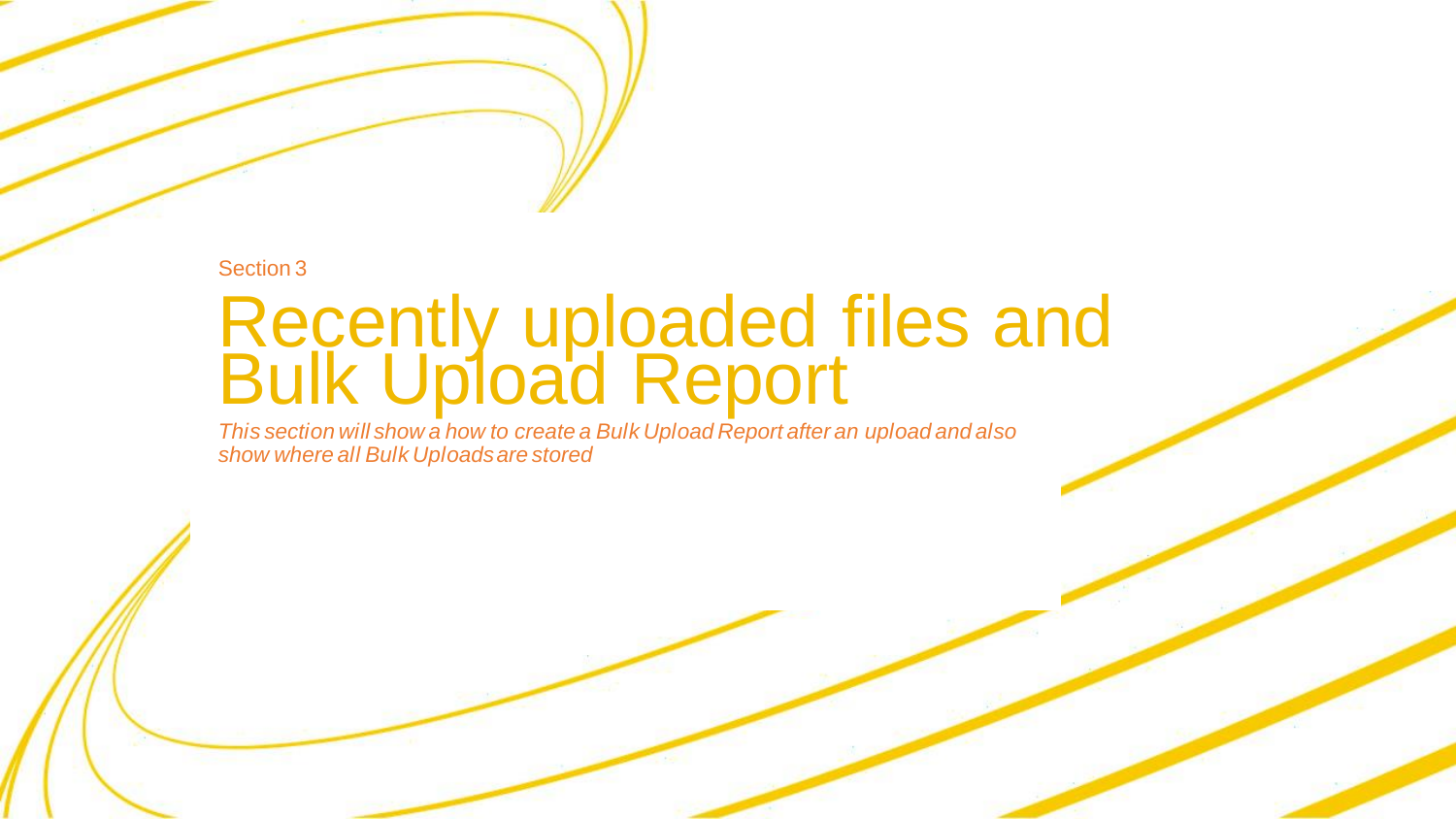Section 3

### Recently uploaded files and Bulk Upload Report

*This section will show a how to create a Bulk Upload Report after an upload and also show where all Bulk Uploads are stored*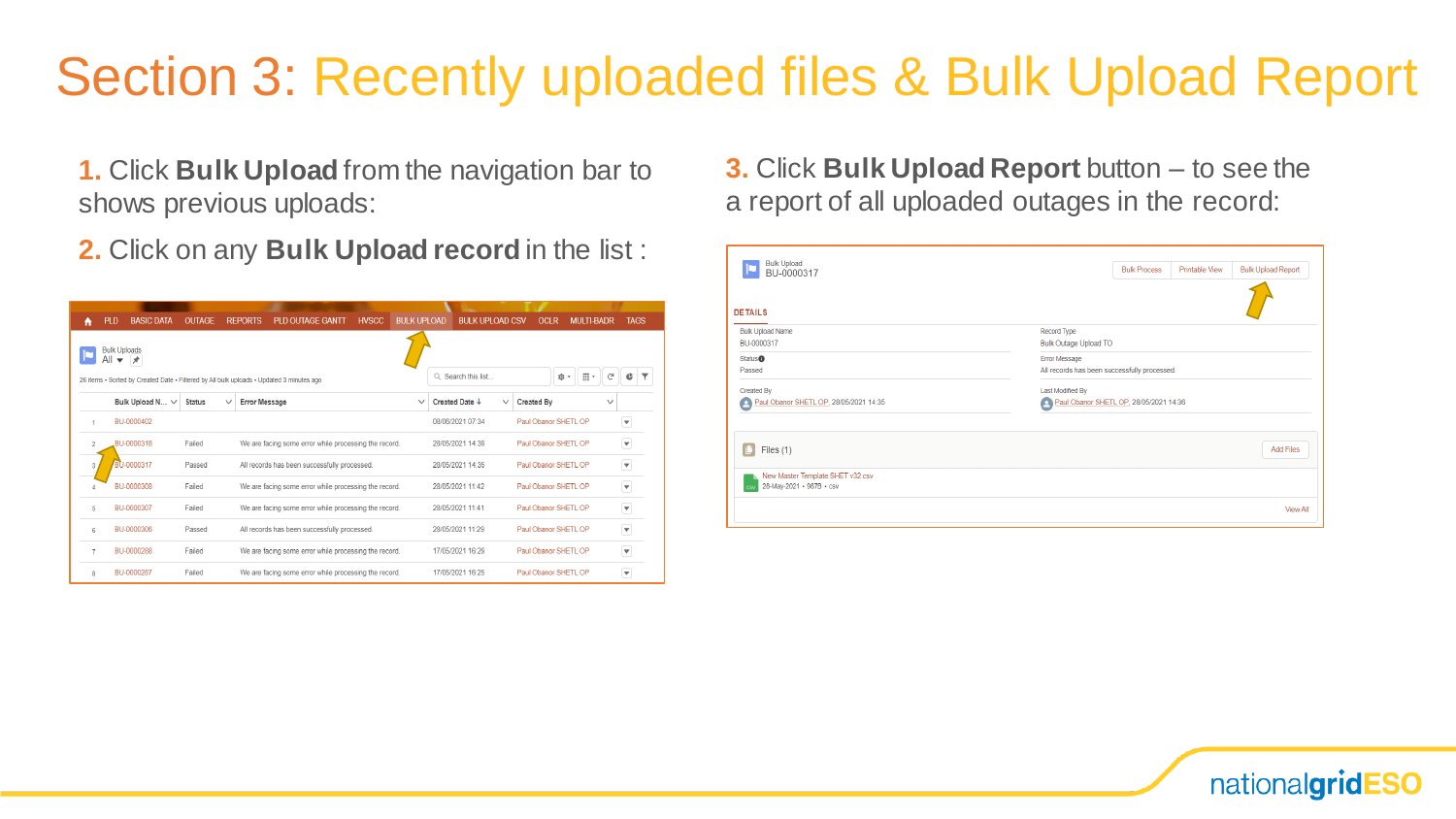### Section 3: Recently uploaded files & Bulk Upload Report

**1.** Click **Bulk Upload** from the navigation bar to shows previous uploads:

**2.** Click on any **Bulk Upload record** in the list :

| A              | <b>PLD</b>                 | <b>BASIC DATA</b>    | <b>OUTAGE</b> |              | <b>PLD OUTAGE GANTT</b><br><b>REPORTS</b>                                                | <b>HVSCC</b> | <b>BULK UPLOAD</b> |                      | <b>BULK UPLOAD CSV</b> | <b>OCLR</b>       | <b>MULTI-BADR</b>                  |              | <b>TAGS</b>             |  |
|----------------|----------------------------|----------------------|---------------|--------------|------------------------------------------------------------------------------------------|--------------|--------------------|----------------------|------------------------|-------------------|------------------------------------|--------------|-------------------------|--|
|                | <b>Bulk Uploads</b><br>All | ×                    |               |              |                                                                                          |              |                    |                      |                        |                   |                                    |              |                         |  |
|                |                            |                      |               |              | 26 items · Sorted by Created Date · Filtered by All bulk uploads · Updated 3 minutes ago |              |                    | $Q$ Search this list |                        |                   | $\overline{\mathbb{H}}$ *<br>ιĝι τ | C            |                         |  |
|                |                            | Bulk Upload N $\vee$ | <b>Status</b> | $\checkmark$ | <b>Error Message</b>                                                                     |              | $\checkmark$       | Created Date +       | $\checkmark$           | <b>Created By</b> |                                    | $\checkmark$ |                         |  |
|                |                            | BU-0000402           |               |              |                                                                                          |              |                    | 08/06/2021 07:34     |                        |                   | Paul Obanor SHETL OP               |              | $\blacktriangledown$    |  |
| $\mathfrak{D}$ |                            | BU-0000318           | Failed        |              | We are facing some error while processing the record.                                    |              |                    | 28/05/2021 14:39     |                        |                   | Paul Obanor SHETL OP               |              | $\blacktriangledown$    |  |
| 3              |                            | BU-0000317           | Passed        |              | All records has been successfully processed.                                             |              |                    | 28/05/2021 14:35     |                        |                   | Paul Obanor SHETL OP               |              | v                       |  |
|                |                            | BU-0000308           | Failed        |              | We are facing some error while processing the record.                                    |              |                    | 28/05/2021 11:42     |                        |                   | Paul Obanor SHETL OP               |              | $\blacktriangledown$    |  |
| 5              |                            | BU-0000307           | Failed        |              | We are facing some error while processing the record.                                    |              |                    | 28/05/2021 11:41     |                        |                   | Paul Obanor SHETL OP               |              | $\overline{\mathbf{v}}$ |  |
| 6              |                            | BU-0000306           | Passed        |              | All records has been successfully processed.                                             |              |                    | 28/05/2021 11:29     |                        |                   | Paul Obanor SHETL OP               |              | $\blacktriangledown$    |  |
| $\overline{7}$ |                            | BU-0000288           | Failed        |              | We are facing some error while processing the record.                                    |              |                    | 17/05/2021 16:29     |                        |                   | Paul Obanor SHETL OP               |              | $\blacktriangledown$    |  |
| R              |                            | BU-0000287           | Failed        |              | We are facing some error while processing the record.                                    |              |                    | 17/05/2021 16:25     |                        |                   | Paul Obanor SHETL OP               |              | $\overline{\mathbf{v}}$ |  |

**3.** Click **Bulk Upload Report** button – to see the a report of all uploaded outages in the record:

| Bulk Upload<br>BU-0000317                                    | <b>Bulk Upload Report</b><br><b>Bulk Process</b><br><b>Printable View</b> |
|--------------------------------------------------------------|---------------------------------------------------------------------------|
| <b>DETAILS</b>                                               |                                                                           |
| <b>Bulk Upload Name</b>                                      | Record Type                                                               |
| BU-0000317                                                   | <b>Bulk Outage Upload TO</b>                                              |
| Status <sup>O</sup>                                          | <b>Error Message</b>                                                      |
| Passed                                                       | All records has been successfully processed.                              |
| Created By                                                   | Last Modified By                                                          |
| Paul Obanor SHETL OP, 28/05/2021 14:35                       | Paul Obanor SHETL OP, 28/05/2021 14:36                                    |
| Files $(1)$                                                  | <b>Add Files</b>                                                          |
| New Master Template SHET v32.csv<br>28-May-2021 • 987B • csv |                                                                           |
|                                                              | <b>View All</b>                                                           |